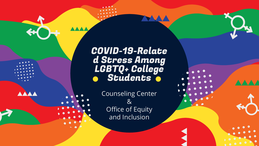COVID-19-Relate d Stress Among LGBTQ+ College Students

> Counseling Center & Office of Equity and Inclusion



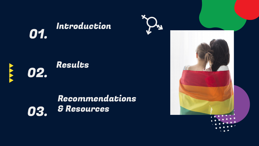## **01.** Introduction

# 02. Results

## Recommendations 03. & Resources

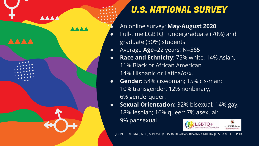

## U.S. NATIONAL SURVEY

● An online survey: **May-August 2020**

- Full-time LGBTQ+ undergraduate (70%) and graduate (30%) students
- Average **Age**=22 years; N=565
	- **Race and Ethnicity**: 75% white, 14% Asian, 11% Black or African American,
		- 14% Hispanic or Latina/o/x.
- **Gender:** 54% ciswoman; 15% cis-man; 10% transgender; 12% nonbinary; 6% genderqueer.
- **Sexual Orientation:** 32% bisexual; 14% gay; 18% lesbian; 16% queer; 7% asexual;

9% pansexual



JOHN P. SALERNO, MPH, M PEASE, JACKSON DEVADAS, BRYANNA NKETIA, JESSICA N. FISH, PHD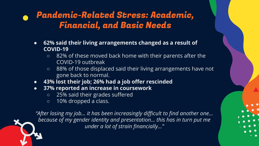## Pandemic-Related Stress: Academic, Financial, and Basic Needs

- **● 62% said their living arrangements changed as a result of COVID-19**
	- **○** 82% of these moved back home with their parents after the COVID-19 outbreak
	- **○** 88% of those displaced said their living arrangements have not gone back to normal.
- **● 43% lost their job; 26% had a job offer rescinded**
- **● 37% reported an increase in coursework**
	- **○** 25% said their grades suffered
	- **○** 10% dropped a class.

*"After losing my job… it has been increasingly difficult to find another one… because of my gender identity and presentation… this has in turn put me under a lot of strain financially…"*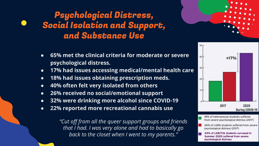## Psychological Distress, Social Isolation and Support, and Substance Use



- **● 65% met the clinical criteria for moderate or severe psychological distress.**
- **● 17% had issues accessing medical/mental health care**
- **● 18% had issues obtaining prescription meds.**
- **● 40% often felt very isolated from others**
- **● 26% received no social/emotional support**
- **● 32% were drinking more alcohol since COVID-19**
- **● 22% reported more recreational cannabis use**

*"Cut off from all the queer support groups and friends that I had. I was very alone and had to basically go back to the closet when I went to my parents."* 



- 18% of heterosexual students suffered from severe psychological distress (2017)
- 26% of LGBQ students suffered from severe psychological distress (2017)
- 43% of LGB(T)Q students surveyed in Summer 2020 suffered from severe psychological distress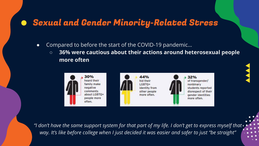## **• Sexual and Gender Minority-Related Stress**

- Compared to before the start of the COVID-19 pandemic…
	- **○ 36% were cautious about their actions around heterosexual people more often**



*"I don't have the same support system for that part of my life. I don't get to express myself that way. It's like before college when I just decided it was easier and safer to just "be straight"*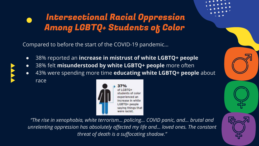## Intersectional Racial Oppression Among LGBTQ+ Students of Color

Compared to before the start of the COVID-19 pandemic…

- 38% reported an **increase in mistrust of white LGBTQ+ people**
- 38% felt **misunderstood by white LGBTQ+ people** more often
- 43% were spending more time **educating white LGBTQ+ people** about race



*"The rise in xenophobia, white terrorism… policing… COVID panic, and… brutal and unrelenting oppression has absolutely affected my life and… loved ones. The constant threat of death is a suffocating shadow."*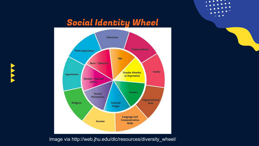## **Social Identity Wheel**





 $\bullet\bullet\bullet\bullet\bullet$ 

 $\bullet$   $\bullet$   $\bullet$ 

 $\bullet$ ٠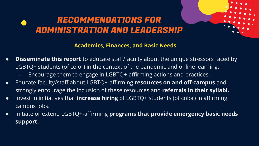#### **Academics, Finances, and Basic Needs**

- **Disseminate this report** to educate staff/faculty about the unique stressors faced by LGBTQ+ students (of color) in the context of the pandemic and online learning.
	- Encourage them to engage in LGBTQ+-affirming actions and practices.
- Educate faculty/staff about LGBTQ+-affirming **resources on and off-campus** and strongly encourage the inclusion of these resources and **referrals in their syllabi.**
- Invest in initiatives that **increase hiring** of LGBTQ+ students (of color) in affirming campus jobs.
- Initiate or extend LGBTQ+-affirming **programs that provide emergency basic needs support.**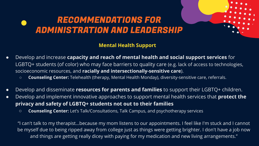#### **Mental Health Support**

- Develop and increase **capacity and reach of mental health and social support services** for LGBTQ+ students (of color) who may face barriers to quality care (e.g. lack of access to technologies, socioeconomic resources, and **racially and intersectionally-sensitive care**).
	- **Counseling Center:** Telehealth (therapy, Mental Health Monday), diversity-sensitive care, referrals.
- Develop and disseminate **resources for parents and families** to support their LGBTQ+ children.
- Develop and implement innovative approaches to support mental health services that **protect the privacy and safety of LGBTQ+ students not out to their families**
	- **Counseling Center:** Let's Talk/Consultations, Talk Campus, and psychotherapy services

"I can't talk to my therapist…because my mom listens to our appointments. I feel like I'm stuck and I cannot be myself due to being ripped away from college just as things were getting brighter. I don't have a job now and things are getting really dicey with paying for my medication and new living arrangements."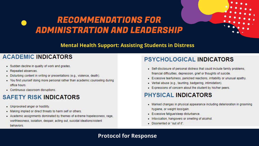

#### **ACADEMIC INDICATORS**

- · Sudden decline in quality of work and grades.
- Repeated absences.
- · Disturbing content in writing or presentations (e.g., violence, death).
- . You find yourself doing more personal rather than academic counseling during office hours
- Continuous classroom disruptions.

#### **SAFETY RISK INDICATORS**

- Unprovoked anger or hostility.
- Making implied or direct threats to harm self or others.
- Academic assignments dominated by themes of extreme hopelessness, rage, worthlessness, isolation, despair, acting out, suicidal ideations/violent behaviors.

#### PSYCHOLOGICAL INDICATORS

- Self-disclosure of personal distress that could include family problems. financial difficulties, depression, grief or thoughts of suicide.
- Excessive tearfulness, panicked reactions, irritability or unusual apathy.
- Verbal abuse (e.g., taunting, badgering, intimidation).
- . Expressions of concern about the student by his/her peers.

#### **PHYSICAL INDICATORS**

- Marked changes in physical appearance including deterioration in grooming hygiene, or weight loss/gain.
- · Excessive fatigue/sleep disturbance.
- . Intoxication, hangovers or smelling of alcohol.
- · Disoriented or "out of it".

#### **Protocol for Response**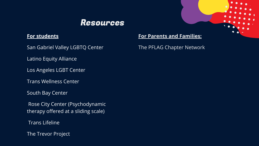### Resources

#### **For students**

San Gabriel Valley LGBTQ Center

Latino Equity Alliance

Los Angeles LGBT Center

Trans Wellness Center

South Bay Center

 Rose City Center (Psychodynamic therapy offered at a sliding scale)

Trans Lifeline

The Trevor Project

#### **For Parents and Families:**

The PFLAG Chapter Network

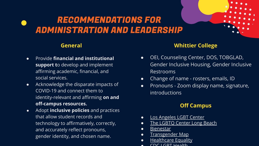#### **General**

- Provide **financial and institutional support t**o develop and implement affirming academic, financial, and social services.
- Acknowledge the disparate impacts of COVID-19 and connect them to identity-relevant and affirming **on and off-campus resources.**
- Adopt **inclusive policies** and practices that allow student records and technology to affirmatively, correctly, and accurately reflect pronouns, gender identity, and chosen name.

#### **Whittier College**

- OEI, Counseling Center, DOS, TOBGLAD, Gender Inclusive Housing, Gender Inclusive Restrooms
- Change of name rosters, emails, ID
- Pronouns Zoom display name, signature, introductions

#### **Off Campus**

- **[Los Angeles LGBT Center](https://lalgbtcenter.org/)**
- [The LGBTQ Center Long Beach](https://www.centerlb.org/)
- **[Bienestar](https://www.bienestar.org/)**
- [Transgender Map](https://www.transgendermap.com/resources/usa/california/los-angeles/)
- **[Healthcare Equality](https://www.hrc.org/resources/healthcare-equality-index)**
- $CDC$  LGDT Hoalth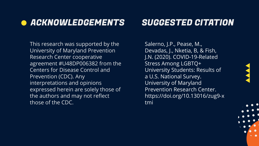## **• ACKNOWLEDGEMENTS**

This research was supported by the University of Maryland Prevention Research Center cooperative agreement #U48DP006382 from the Centers for Disease Control and Prevention (CDC). Any interpretations and opinions expressed herein are solely those of the authors and may not reflect those of the CDC.

## SUGGESTED CITATION

Salerno, J.P., Pease, M., Devadas, J., Nketia, B, & Fish, J.N. (2020). COVID-19-Related Stress Among LGBTQ+ University Students: Results of a U.S. National Survey. University of Maryland Prevention Research Center. https://doi.org/10.13016/zug9-x tmi